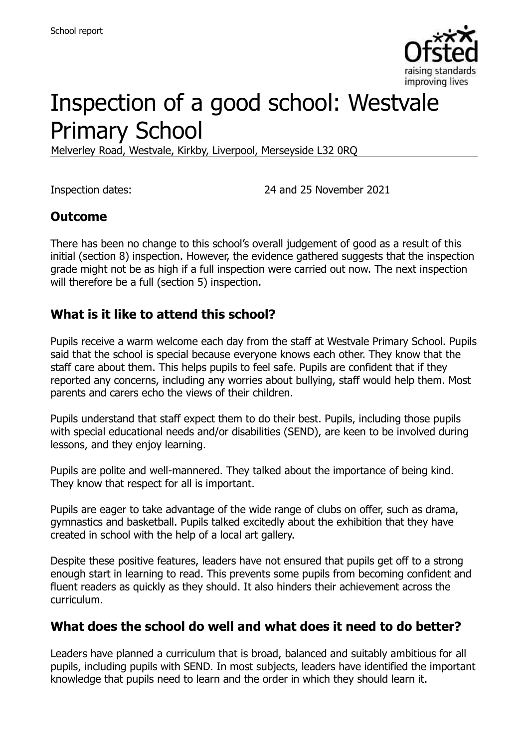

# Inspection of a good school: Westvale Primary School

Melverley Road, Westvale, Kirkby, Liverpool, Merseyside L32 0RQ

Inspection dates: 24 and 25 November 2021

#### **Outcome**

There has been no change to this school's overall judgement of good as a result of this initial (section 8) inspection. However, the evidence gathered suggests that the inspection grade might not be as high if a full inspection were carried out now. The next inspection will therefore be a full (section 5) inspection.

#### **What is it like to attend this school?**

Pupils receive a warm welcome each day from the staff at Westvale Primary School. Pupils said that the school is special because everyone knows each other. They know that the staff care about them. This helps pupils to feel safe. Pupils are confident that if they reported any concerns, including any worries about bullying, staff would help them. Most parents and carers echo the views of their children.

Pupils understand that staff expect them to do their best. Pupils, including those pupils with special educational needs and/or disabilities (SEND), are keen to be involved during lessons, and they enjoy learning.

Pupils are polite and well-mannered. They talked about the importance of being kind. They know that respect for all is important.

Pupils are eager to take advantage of the wide range of clubs on offer, such as drama, gymnastics and basketball. Pupils talked excitedly about the exhibition that they have created in school with the help of a local art gallery.

Despite these positive features, leaders have not ensured that pupils get off to a strong enough start in learning to read. This prevents some pupils from becoming confident and fluent readers as quickly as they should. It also hinders their achievement across the curriculum.

#### **What does the school do well and what does it need to do better?**

Leaders have planned a curriculum that is broad, balanced and suitably ambitious for all pupils, including pupils with SEND. In most subjects, leaders have identified the important knowledge that pupils need to learn and the order in which they should learn it.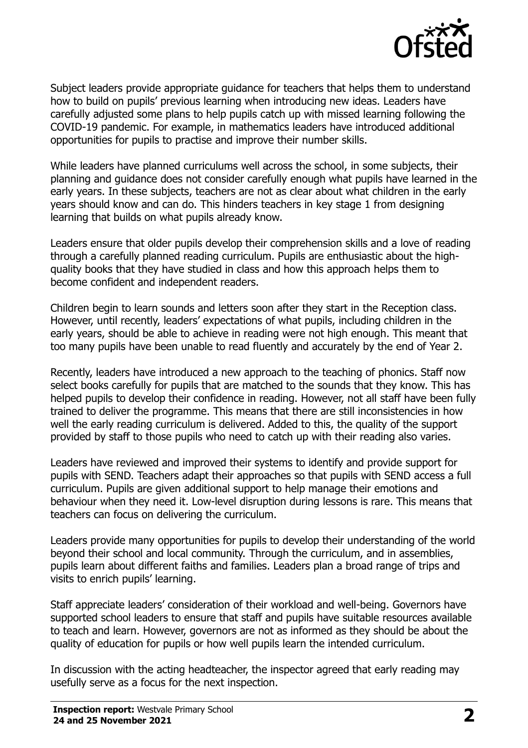

Subject leaders provide appropriate guidance for teachers that helps them to understand how to build on pupils' previous learning when introducing new ideas. Leaders have carefully adjusted some plans to help pupils catch up with missed learning following the COVID-19 pandemic. For example, in mathematics leaders have introduced additional opportunities for pupils to practise and improve their number skills.

While leaders have planned curriculums well across the school, in some subjects, their planning and guidance does not consider carefully enough what pupils have learned in the early years. In these subjects, teachers are not as clear about what children in the early years should know and can do. This hinders teachers in key stage 1 from designing learning that builds on what pupils already know.

Leaders ensure that older pupils develop their comprehension skills and a love of reading through a carefully planned reading curriculum. Pupils are enthusiastic about the highquality books that they have studied in class and how this approach helps them to become confident and independent readers.

Children begin to learn sounds and letters soon after they start in the Reception class. However, until recently, leaders' expectations of what pupils, including children in the early years, should be able to achieve in reading were not high enough. This meant that too many pupils have been unable to read fluently and accurately by the end of Year 2.

Recently, leaders have introduced a new approach to the teaching of phonics. Staff now select books carefully for pupils that are matched to the sounds that they know. This has helped pupils to develop their confidence in reading. However, not all staff have been fully trained to deliver the programme. This means that there are still inconsistencies in how well the early reading curriculum is delivered. Added to this, the quality of the support provided by staff to those pupils who need to catch up with their reading also varies.

Leaders have reviewed and improved their systems to identify and provide support for pupils with SEND. Teachers adapt their approaches so that pupils with SEND access a full curriculum. Pupils are given additional support to help manage their emotions and behaviour when they need it. Low-level disruption during lessons is rare. This means that teachers can focus on delivering the curriculum.

Leaders provide many opportunities for pupils to develop their understanding of the world beyond their school and local community. Through the curriculum, and in assemblies, pupils learn about different faiths and families. Leaders plan a broad range of trips and visits to enrich pupils' learning.

Staff appreciate leaders' consideration of their workload and well-being. Governors have supported school leaders to ensure that staff and pupils have suitable resources available to teach and learn. However, governors are not as informed as they should be about the quality of education for pupils or how well pupils learn the intended curriculum.

In discussion with the acting headteacher, the inspector agreed that early reading may usefully serve as a focus for the next inspection.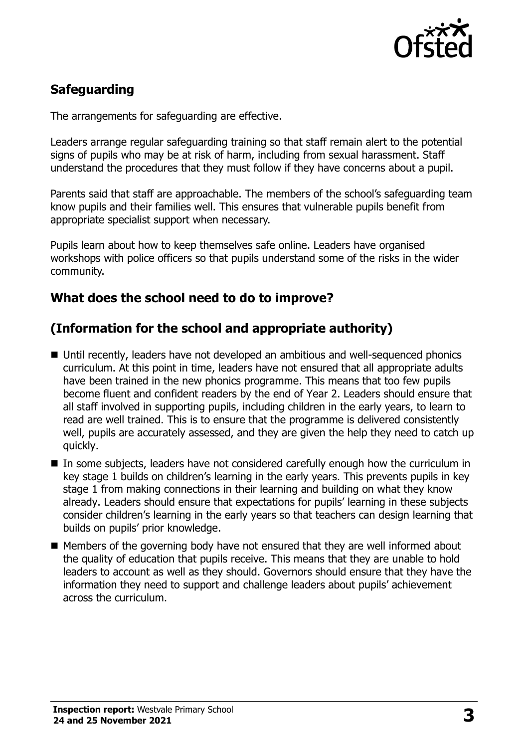

# **Safeguarding**

The arrangements for safeguarding are effective.

Leaders arrange regular safeguarding training so that staff remain alert to the potential signs of pupils who may be at risk of harm, including from sexual harassment. Staff understand the procedures that they must follow if they have concerns about a pupil.

Parents said that staff are approachable. The members of the school's safeguarding team know pupils and their families well. This ensures that vulnerable pupils benefit from appropriate specialist support when necessary.

Pupils learn about how to keep themselves safe online. Leaders have organised workshops with police officers so that pupils understand some of the risks in the wider community.

#### **What does the school need to do to improve?**

#### **(Information for the school and appropriate authority)**

- Until recently, leaders have not developed an ambitious and well-sequenced phonics curriculum. At this point in time, leaders have not ensured that all appropriate adults have been trained in the new phonics programme. This means that too few pupils become fluent and confident readers by the end of Year 2. Leaders should ensure that all staff involved in supporting pupils, including children in the early years, to learn to read are well trained. This is to ensure that the programme is delivered consistently well, pupils are accurately assessed, and they are given the help they need to catch up quickly.
- In some subjects, leaders have not considered carefully enough how the curriculum in key stage 1 builds on children's learning in the early years. This prevents pupils in key stage 1 from making connections in their learning and building on what they know already. Leaders should ensure that expectations for pupils' learning in these subjects consider children's learning in the early years so that teachers can design learning that builds on pupils' prior knowledge.
- Members of the governing body have not ensured that they are well informed about the quality of education that pupils receive. This means that they are unable to hold leaders to account as well as they should. Governors should ensure that they have the information they need to support and challenge leaders about pupils' achievement across the curriculum.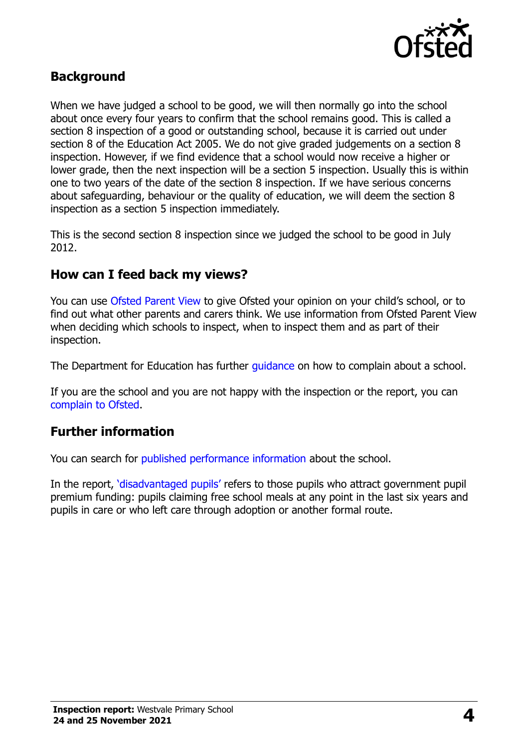

### **Background**

When we have judged a school to be good, we will then normally go into the school about once every four years to confirm that the school remains good. This is called a section 8 inspection of a good or outstanding school, because it is carried out under section 8 of the Education Act 2005. We do not give graded judgements on a section 8 inspection. However, if we find evidence that a school would now receive a higher or lower grade, then the next inspection will be a section 5 inspection. Usually this is within one to two years of the date of the section 8 inspection. If we have serious concerns about safeguarding, behaviour or the quality of education, we will deem the section 8 inspection as a section 5 inspection immediately.

This is the second section 8 inspection since we judged the school to be good in July 2012.

#### **How can I feed back my views?**

You can use [Ofsted Parent View](https://parentview.ofsted.gov.uk/) to give Ofsted your opinion on your child's school, or to find out what other parents and carers think. We use information from Ofsted Parent View when deciding which schools to inspect, when to inspect them and as part of their inspection.

The Department for Education has further quidance on how to complain about a school.

If you are the school and you are not happy with the inspection or the report, you can [complain to Ofsted.](https://www.gov.uk/complain-ofsted-report)

#### **Further information**

You can search for [published performance information](http://www.compare-school-performance.service.gov.uk/) about the school.

In the report, '[disadvantaged pupils](http://www.gov.uk/guidance/pupil-premium-information-for-schools-and-alternative-provision-settings)' refers to those pupils who attract government pupil premium funding: pupils claiming free school meals at any point in the last six years and pupils in care or who left care through adoption or another formal route.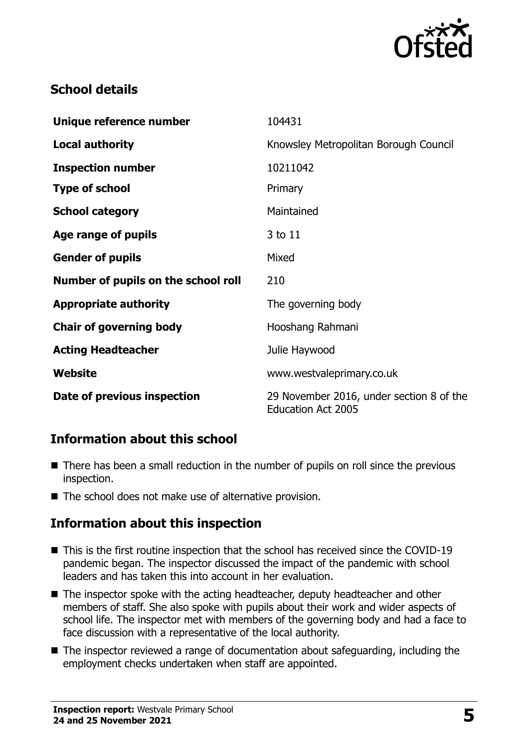

# **School details**

| Unique reference number             | 104431                                                                |
|-------------------------------------|-----------------------------------------------------------------------|
| <b>Local authority</b>              | Knowsley Metropolitan Borough Council                                 |
| <b>Inspection number</b>            | 10211042                                                              |
| <b>Type of school</b>               | Primary                                                               |
| <b>School category</b>              | Maintained                                                            |
| Age range of pupils                 | 3 to 11                                                               |
| <b>Gender of pupils</b>             | Mixed                                                                 |
| Number of pupils on the school roll | 210                                                                   |
| <b>Appropriate authority</b>        | The governing body                                                    |
| <b>Chair of governing body</b>      | Hooshang Rahmani                                                      |
| <b>Acting Headteacher</b>           | Julie Haywood                                                         |
| Website                             | www.westvaleprimary.co.uk                                             |
| Date of previous inspection         | 29 November 2016, under section 8 of the<br><b>Education Act 2005</b> |

# **Information about this school**

- There has been a small reduction in the number of pupils on roll since the previous inspection.
- The school does not make use of alternative provision.

#### **Information about this inspection**

- This is the first routine inspection that the school has received since the COVID-19 pandemic began. The inspector discussed the impact of the pandemic with school leaders and has taken this into account in her evaluation.
- The inspector spoke with the acting headteacher, deputy headteacher and other members of staff. She also spoke with pupils about their work and wider aspects of school life. The inspector met with members of the governing body and had a face to face discussion with a representative of the local authority.
- The inspector reviewed a range of documentation about safeguarding, including the employment checks undertaken when staff are appointed.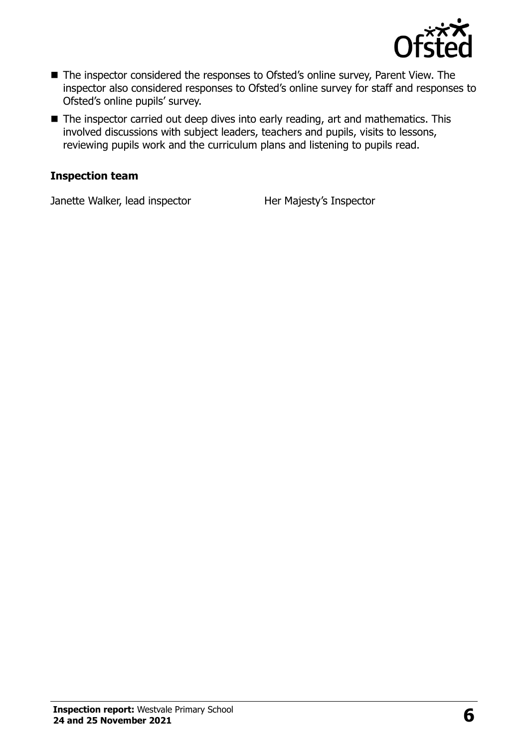

- The inspector considered the responses to Ofsted's online survey, Parent View. The inspector also considered responses to Ofsted's online survey for staff and responses to Ofsted's online pupils' survey.
- The inspector carried out deep dives into early reading, art and mathematics. This involved discussions with subject leaders, teachers and pupils, visits to lessons, reviewing pupils work and the curriculum plans and listening to pupils read.

#### **Inspection team**

Janette Walker, lead inspector **Her Majesty's Inspector**